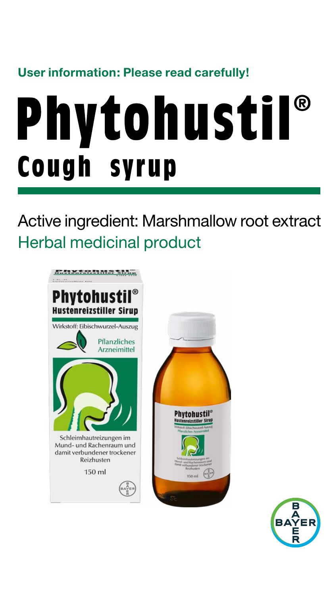#### **User information: Please read carefully!**

# **Phytohustil® Cough syrup**

Active ingredient: Marshmallow root extract Herbal medicinal product



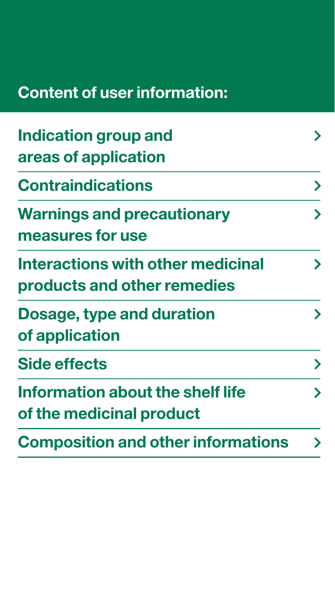## **Content of user information:**

| <b>Indication group and</b>                                      |                       |
|------------------------------------------------------------------|-----------------------|
| areas of application                                             |                       |
| <b>Contraindications</b>                                         | $\blacktriangleright$ |
| <b>Warnings and precautionary</b><br>measures for use            |                       |
| Interactions with other medicinal<br>products and other remedies | $\blacktriangleright$ |
| Dosage, type and duration<br>of application                      | $\blacktriangleright$ |
| <b>Side effects</b>                                              | $\blacktriangleright$ |
| Information about the shelf life<br>of the medicinal product     | $\blacktriangleright$ |
| <b>Composition and other informations</b>                        | ≻                     |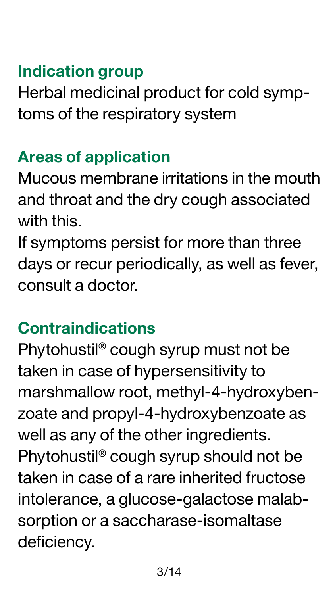#### <span id="page-2-0"></span>**Indication group**

Herbal medicinal product for cold symptoms of the respiratory system

#### **Areas of application**

Mucous membrane irritations in the mouth and throat and the dry cough associated with this.

If symptoms persist for more than three days or recur periodically, as well as fever, consult a doctor.

## **Contraindications**

Phytohustil® cough syrup must not be taken in case of hypersensitivity to marshmallow root, methyl-4-hydroxybenzoate and propyl-4-hydroxybenzoate as well as any of the other ingredients. Phytohustil® cough syrup should not be taken in case of a rare inherited fructose intolerance, a glucose-galactose malabsorption or a saccharase-isomaltase deficiency.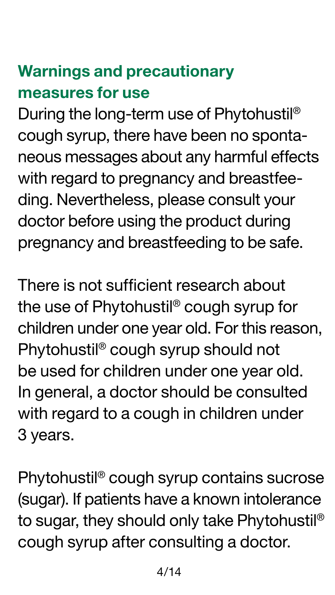# <span id="page-3-0"></span>**Warnings and precautionary measures for use**

During the long-term use of Phytohustil® cough syrup, there have been no spontaneous messages about any harmful effects with regard to pregnancy and breastfeeding. Nevertheless, please consult your doctor before using the product during pregnancy and breastfeeding to be safe.

There is not sufficient research about the use of Phytohustil® cough syrup for children under one year old. For this reason, Phytohustil® cough syrup should not be used for children under one year old. In general, a doctor should be consulted with regard to a cough in children under 3 years.

Phytohustil® cough syrup contains sucrose (sugar). If patients have a known intolerance to sugar, they should only take Phytohustil® cough syrup after consulting a doctor.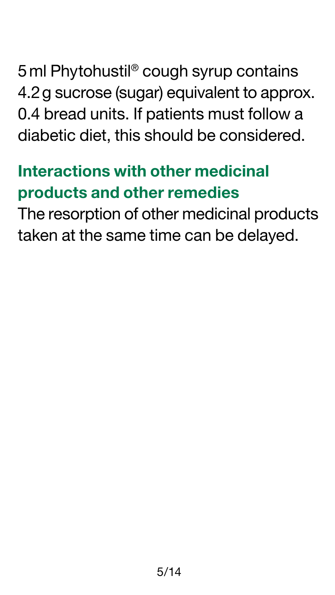<span id="page-4-0"></span>5ml Phytohustil® cough syrup contains 4.2g sucrose (sugar) equivalent to approx. 0.4 bread units. If patients must follow a diabetic diet, this should be considered.

# **Interactions with other medicinal products and other remedies**

The resorption of other medicinal products taken at the same time can be delayed.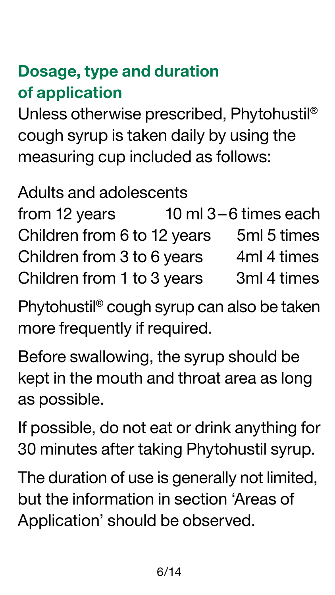# <span id="page-5-0"></span>**Dosage, type and duration of application**

Unless otherwise prescribed, Phytohustil® cough syrup is taken daily by using the measuring cup included as follows:

#### Adults and adolescents

| from 12 years               | 10 ml 3-6 times each |
|-----------------------------|----------------------|
| Children from 6 to 12 years | 5ml 5 times          |
| Children from 3 to 6 years  | 4ml 4 times          |
| Children from 1 to 3 years  | 3ml 4 times          |

Phytohustil® cough syrup can also be taken more frequently if required.

Before swallowing, the syrup should be kept in the mouth and throat area as long as possible.

If possible, do not eat or drink anything for 30 minutes after taking Phytohustil syrup.

The duration of use is generally not limited, but the information in section 'Areas of Application' should be observed.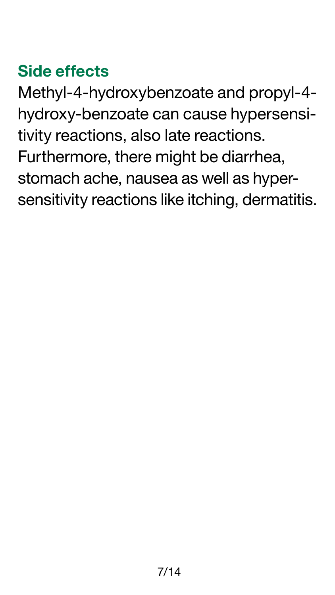# <span id="page-6-0"></span>**Side effects**

Methyl-4-hydroxybenzoate and propyl-4 hydroxy-benzoate can cause hypersensitivity reactions, also late reactions. Furthermore, there might be diarrhea, stomach ache, nausea as well as hypersensitivity reactions like itching, dermatitis.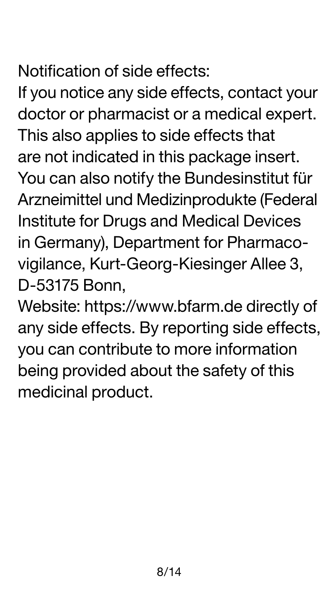# Notification of side effects:

If you notice any side effects, contact your doctor or pharmacist or a medical expert. This also applies to side effects that are not indicated in this package insert. You can also notify the Bundesinstitut für Arzneimittel und Medizinprodukte (Federal Institute for Drugs and Medical Devices in Germany), Department for Pharmacovigilance, Kurt-Georg-Kiesinger Allee 3, D-53175 Bonn,

Website:<https://www.bfarm.de>directly of any side effects. By reporting side effects, you can contribute to more information being provided about the safety of this medicinal product.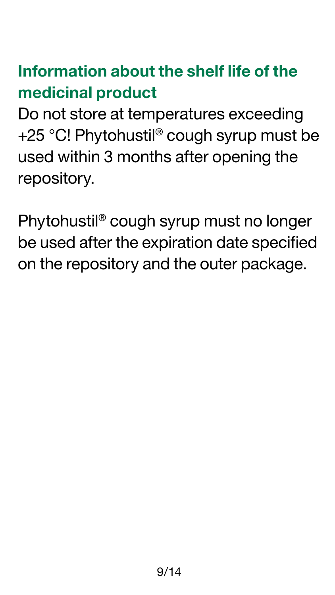# <span id="page-8-0"></span>**Information about the shelf life of the medicinal product**

Do not store at temperatures exceeding +25 °C! Phytohustil® cough syrup must be used within 3 months after opening the repository.

Phytohustil® cough syrup must no longer be used after the expiration date specified on the repository and the outer package.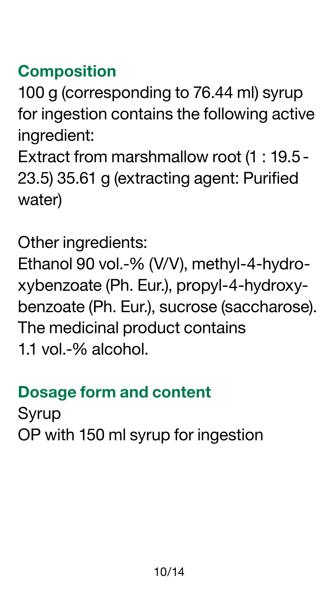#### <span id="page-9-0"></span>**Composition**

100 g (corresponding to 76.44 ml) syrup for ingestion contains the following active ingredient:

Extract from marshmallow root (1 : 19.5- 23.5) 35.61 g (extracting agent: Purified water)

Other ingredients:

Ethanol 90 vol.-% (V/V), methyl-4-hydroxybenzoate (Ph. Eur.), propyl-4-hydroxybenzoate (Ph. Eur.), sucrose (saccharose). The medicinal product contains 1.1 vol.-% alcohol.

#### **Dosage form and content**

Syrup OP with 150 ml syrup for ingestion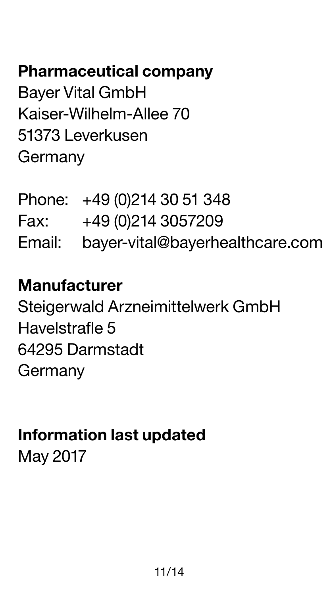# **Pharmaceutical company**

Bayer Vital GmbH Kaiser-Wilhelm-Allee 70 51373 Leverkusen Germany

| Phone: +49 (0)214 30 51 348            |
|----------------------------------------|
| Fax: +49 (0)214 3057209                |
| Email: bayer-vital@bayerhealthcare.com |

#### **Manufacturer**

Steigerwald Arzneimittelwerk GmbH Havelstrafle 5 64295 Darmstadt **Germany** 

## **Information last updated**  May 2017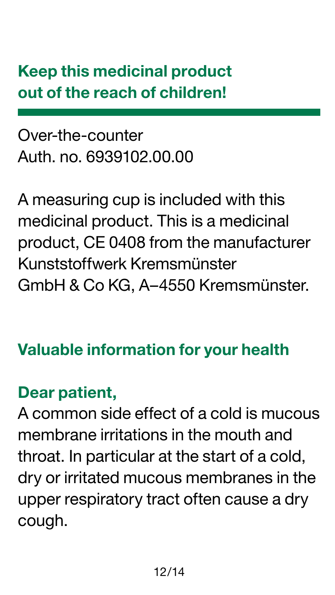# **Keep this medicinal product out of the reach of children!**

#### Over-the-counter Auth. no. 6939102.00.00

A measuring cup is included with this medicinal product. This is a medicinal product, CE 0408 from the manufacturer Kunststoffwerk Kremsmünster GmbH & Co KG, A–4550 Kremsmünster.

## **Valuable information for your health**

#### **Dear patient,**

A common side effect of a cold is mucous membrane irritations in the mouth and throat. In particular at the start of a cold, dry or irritated mucous membranes in the upper respiratory tract often cause a dry cough.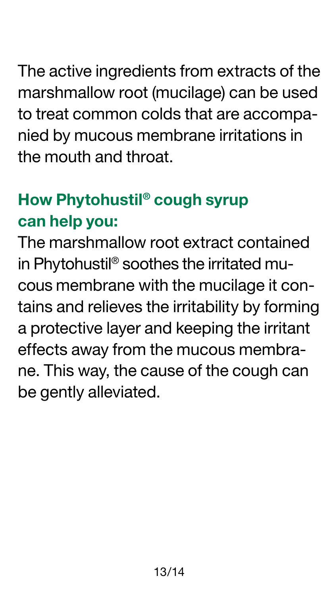The active ingredients from extracts of the marshmallow root (mucilage) can be used to treat common colds that are accompanied by mucous membrane irritations in the mouth and throat.

# **How Phytohustil® cough syrup can help you:**

The marshmallow root extract contained in Phytohustil® soothes the irritated mucous membrane with the mucilage it contains and relieves the irritability by forming a protective layer and keeping the irritant effects away from the mucous membrane. This way, the cause of the cough can be gently alleviated.